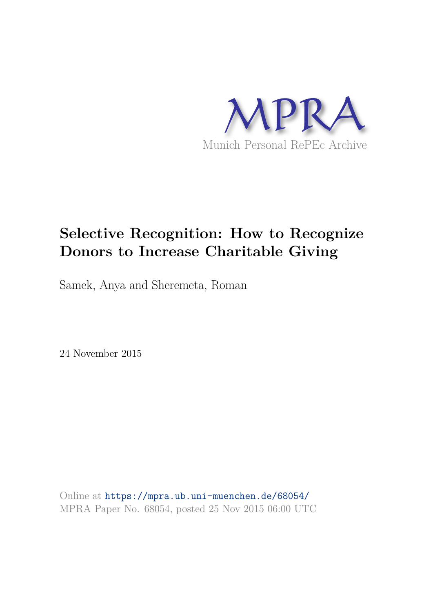

# **Selective Recognition: How to Recognize Donors to Increase Charitable Giving**

Samek, Anya and Sheremeta, Roman

24 November 2015

Online at https://mpra.ub.uni-muenchen.de/68054/ MPRA Paper No. 68054, posted 25 Nov 2015 06:00 UTC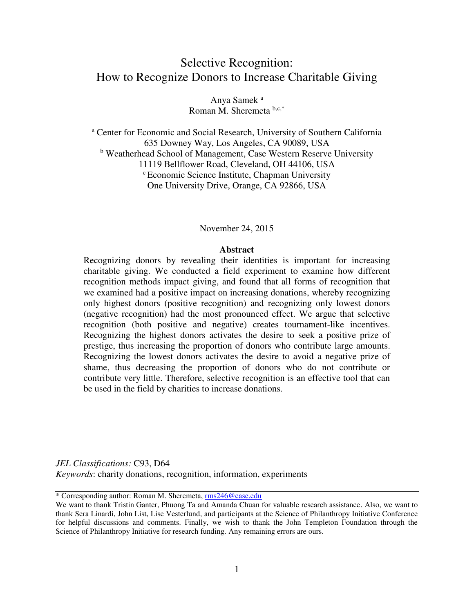## Selective Recognition: How to Recognize Donors to Increase Charitable Giving

Anya Samek<sup>a</sup> Roman M. Sheremeta  $b,c,*$ 

<sup>a</sup> Center for Economic and Social Research, University of Southern California 635 Downey Way, Los Angeles, CA 90089, USA <sup>b</sup> Weatherhead School of Management, Case Western Reserve University 11119 Bellflower Road, Cleveland, OH 44106, USA <sup>c</sup> Economic Science Institute, Chapman University One University Drive, Orange, CA 92866, USA

#### November 24, 2015

### **Abstract**

Recognizing donors by revealing their identities is important for increasing charitable giving. We conducted a field experiment to examine how different recognition methods impact giving, and found that all forms of recognition that we examined had a positive impact on increasing donations, whereby recognizing only highest donors (positive recognition) and recognizing only lowest donors (negative recognition) had the most pronounced effect. We argue that selective recognition (both positive and negative) creates tournament-like incentives. Recognizing the highest donors activates the desire to seek a positive prize of prestige, thus increasing the proportion of donors who contribute large amounts. Recognizing the lowest donors activates the desire to avoid a negative prize of shame, thus decreasing the proportion of donors who do not contribute or contribute very little. Therefore, selective recognition is an effective tool that can be used in the field by charities to increase donations.

*JEL Classifications:* C93, D64 *Keywords*: charity donations, recognition, information, experiments

\* Corresponding author: Roman M. Sheremeta[, rms246@case.edu](mailto:rms246@case.edu)

We want to thank Tristin Ganter, Phuong Ta and Amanda Chuan for valuable research assistance. Also, we want to thank Sera Linardi, John List, Lise Vesterlund, and participants at the Science of Philanthropy Initiative Conference for helpful discussions and comments. Finally, we wish to thank the John Templeton Foundation through the Science of Philanthropy Initiative for research funding. Any remaining errors are ours.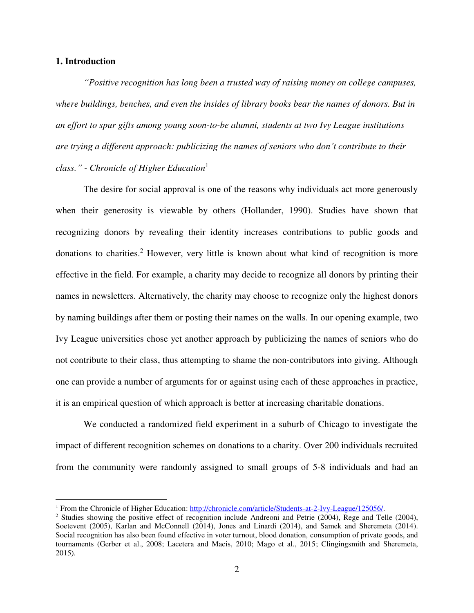### **1. Introduction**

 $\overline{a}$ 

*"Positive recognition has long been a trusted way of raising money on college campuses, where buildings, benches, and even the insides of library books bear the names of donors. But in an effort to spur gifts among young soon-to-be alumni, students at two Ivy League institutions are trying a different approach: publicizing the names of seniors who don't contribute to their class." - Chronicle of Higher Education*<sup>1</sup>

The desire for social approval is one of the reasons why individuals act more generously when their generosity is viewable by others (Hollander, 1990). Studies have shown that recognizing donors by revealing their identity increases contributions to public goods and donations to charities.<sup>2</sup> However, very little is known about what kind of recognition is more effective in the field. For example, a charity may decide to recognize all donors by printing their names in newsletters. Alternatively, the charity may choose to recognize only the highest donors by naming buildings after them or posting their names on the walls. In our opening example, two Ivy League universities chose yet another approach by publicizing the names of seniors who do not contribute to their class, thus attempting to shame the non-contributors into giving. Although one can provide a number of arguments for or against using each of these approaches in practice, it is an empirical question of which approach is better at increasing charitable donations.

We conducted a randomized field experiment in a suburb of Chicago to investigate the impact of different recognition schemes on donations to a charity. Over 200 individuals recruited from the community were randomly assigned to small groups of 5-8 individuals and had an

<sup>&</sup>lt;sup>1</sup> From the Chronicle of Higher Education: [http://chronicle.com/article/Students-at-2-Ivy-League/125056/.](http://chronicle.com/article/Students-at-2-Ivy-League/125056/)

<sup>&</sup>lt;sup>2</sup> Studies showing the positive effect of recognition include Andreoni and Petrie (2004), Rege and Telle (2004), Soetevent (2005), Karlan and McConnell (2014), Jones and Linardi (2014), and Samek and Sheremeta (2014). Social recognition has also been found effective in voter turnout, blood donation, consumption of private goods, and tournaments (Gerber et al., 2008; Lacetera and Macis, 2010; Mago et al., 2015; Clingingsmith and Sheremeta, 2015).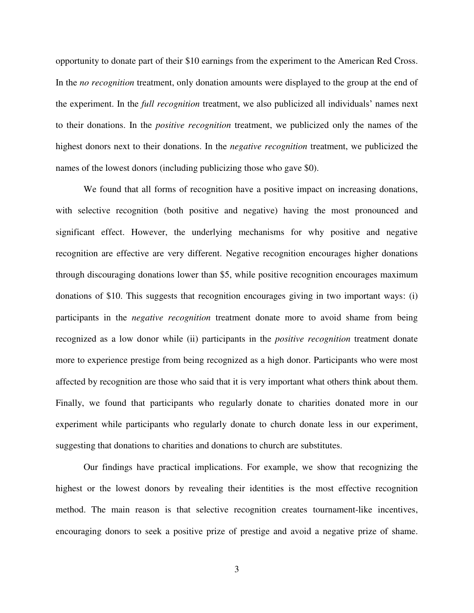opportunity to donate part of their \$10 earnings from the experiment to the American Red Cross. In the *no recognition* treatment, only donation amounts were displayed to the group at the end of the experiment. In the *full recognition* treatment, we also publicized all individuals' names next to their donations. In the *positive recognition* treatment, we publicized only the names of the highest donors next to their donations. In the *negative recognition* treatment, we publicized the names of the lowest donors (including publicizing those who gave \$0).

We found that all forms of recognition have a positive impact on increasing donations, with selective recognition (both positive and negative) having the most pronounced and significant effect. However, the underlying mechanisms for why positive and negative recognition are effective are very different. Negative recognition encourages higher donations through discouraging donations lower than \$5, while positive recognition encourages maximum donations of \$10. This suggests that recognition encourages giving in two important ways: (i) participants in the *negative recognition* treatment donate more to avoid shame from being recognized as a low donor while (ii) participants in the *positive recognition* treatment donate more to experience prestige from being recognized as a high donor. Participants who were most affected by recognition are those who said that it is very important what others think about them. Finally, we found that participants who regularly donate to charities donated more in our experiment while participants who regularly donate to church donate less in our experiment, suggesting that donations to charities and donations to church are substitutes.

Our findings have practical implications. For example, we show that recognizing the highest or the lowest donors by revealing their identities is the most effective recognition method. The main reason is that selective recognition creates tournament-like incentives, encouraging donors to seek a positive prize of prestige and avoid a negative prize of shame.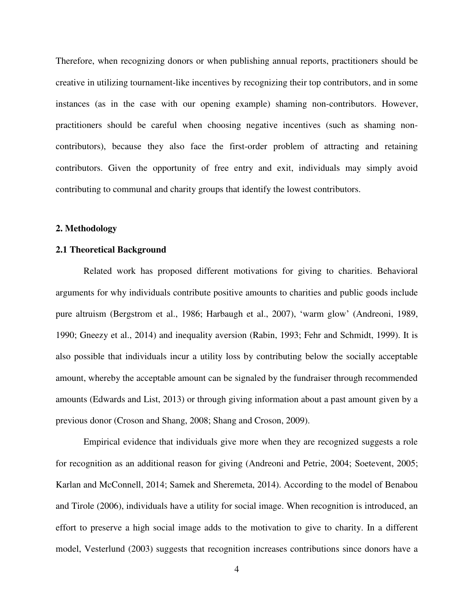Therefore, when recognizing donors or when publishing annual reports, practitioners should be creative in utilizing tournament-like incentives by recognizing their top contributors, and in some instances (as in the case with our opening example) shaming non-contributors. However, practitioners should be careful when choosing negative incentives (such as shaming noncontributors), because they also face the first-order problem of attracting and retaining contributors. Given the opportunity of free entry and exit, individuals may simply avoid contributing to communal and charity groups that identify the lowest contributors.

### **2. Methodology**

### **2.1 Theoretical Background**

Related work has proposed different motivations for giving to charities. Behavioral arguments for why individuals contribute positive amounts to charities and public goods include pure altruism (Bergstrom et al., 1986; Harbaugh et al., 2007), 'warm glow' (Andreoni, 1989, 1990; Gneezy et al., 2014) and inequality aversion (Rabin, 1993; Fehr and Schmidt, 1999). It is also possible that individuals incur a utility loss by contributing below the socially acceptable amount, whereby the acceptable amount can be signaled by the fundraiser through recommended amounts (Edwards and List, 2013) or through giving information about a past amount given by a previous donor (Croson and Shang, 2008; Shang and Croson, 2009).

Empirical evidence that individuals give more when they are recognized suggests a role for recognition as an additional reason for giving (Andreoni and Petrie, 2004; Soetevent, 2005; Karlan and McConnell, 2014; Samek and Sheremeta, 2014). According to the model of Benabou and Tirole (2006), individuals have a utility for social image. When recognition is introduced, an effort to preserve a high social image adds to the motivation to give to charity. In a different model, Vesterlund (2003) suggests that recognition increases contributions since donors have a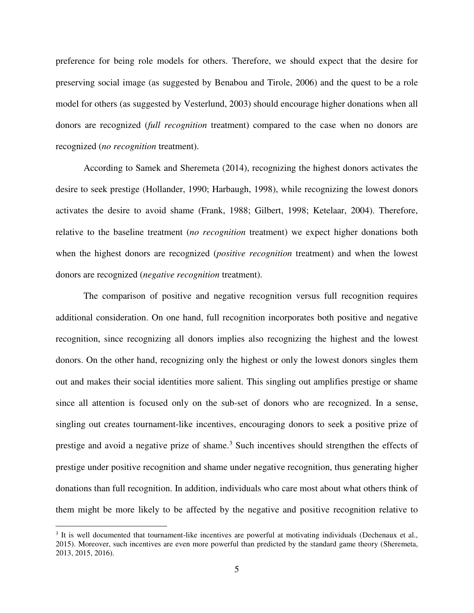preference for being role models for others. Therefore, we should expect that the desire for preserving social image (as suggested by Benabou and Tirole, 2006) and the quest to be a role model for others (as suggested by Vesterlund, 2003) should encourage higher donations when all donors are recognized (*full recognition* treatment) compared to the case when no donors are recognized (*no recognition* treatment).

According to Samek and Sheremeta (2014), recognizing the highest donors activates the desire to seek prestige (Hollander, 1990; Harbaugh, 1998), while recognizing the lowest donors activates the desire to avoid shame (Frank, 1988; Gilbert, 1998; Ketelaar, 2004). Therefore, relative to the baseline treatment (*no recognition* treatment) we expect higher donations both when the highest donors are recognized (*positive recognition* treatment) and when the lowest donors are recognized (*negative recognition* treatment).

The comparison of positive and negative recognition versus full recognition requires additional consideration. On one hand, full recognition incorporates both positive and negative recognition, since recognizing all donors implies also recognizing the highest and the lowest donors. On the other hand, recognizing only the highest or only the lowest donors singles them out and makes their social identities more salient. This singling out amplifies prestige or shame since all attention is focused only on the sub-set of donors who are recognized. In a sense, singling out creates tournament-like incentives, encouraging donors to seek a positive prize of prestige and avoid a negative prize of shame.<sup>3</sup> Such incentives should strengthen the effects of prestige under positive recognition and shame under negative recognition, thus generating higher donations than full recognition. In addition, individuals who care most about what others think of them might be more likely to be affected by the negative and positive recognition relative to

 $\overline{a}$ 

 $3$  It is well documented that tournament-like incentives are powerful at motivating individuals (Dechenaux et al., 2015). Moreover, such incentives are even more powerful than predicted by the standard game theory (Sheremeta, 2013, 2015, 2016).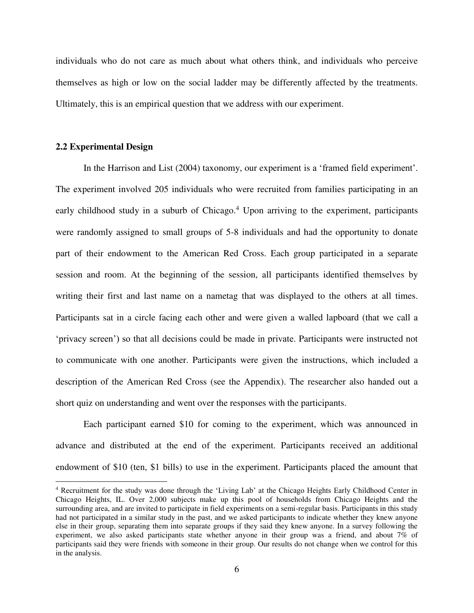individuals who do not care as much about what others think, and individuals who perceive themselves as high or low on the social ladder may be differently affected by the treatments. Ultimately, this is an empirical question that we address with our experiment.

### **2.2 Experimental Design**

 $\overline{a}$ 

In the Harrison and List (2004) taxonomy, our experiment is a 'framed field experiment'. The experiment involved 205 individuals who were recruited from families participating in an early childhood study in a suburb of Chicago.<sup>4</sup> Upon arriving to the experiment, participants were randomly assigned to small groups of 5-8 individuals and had the opportunity to donate part of their endowment to the American Red Cross. Each group participated in a separate session and room. At the beginning of the session, all participants identified themselves by writing their first and last name on a nametag that was displayed to the others at all times. Participants sat in a circle facing each other and were given a walled lapboard (that we call a 'privacy screen') so that all decisions could be made in private. Participants were instructed not to communicate with one another. Participants were given the instructions, which included a description of the American Red Cross (see the Appendix). The researcher also handed out a short quiz on understanding and went over the responses with the participants.

Each participant earned \$10 for coming to the experiment, which was announced in advance and distributed at the end of the experiment. Participants received an additional endowment of \$10 (ten, \$1 bills) to use in the experiment. Participants placed the amount that

<sup>4</sup> Recruitment for the study was done through the 'Living Lab' at the Chicago Heights Early Childhood Center in Chicago Heights, IL. Over 2,000 subjects make up this pool of households from Chicago Heights and the surrounding area, and are invited to participate in field experiments on a semi-regular basis. Participants in this study had not participated in a similar study in the past, and we asked participants to indicate whether they knew anyone else in their group, separating them into separate groups if they said they knew anyone. In a survey following the experiment, we also asked participants state whether anyone in their group was a friend, and about 7% of participants said they were friends with someone in their group. Our results do not change when we control for this in the analysis.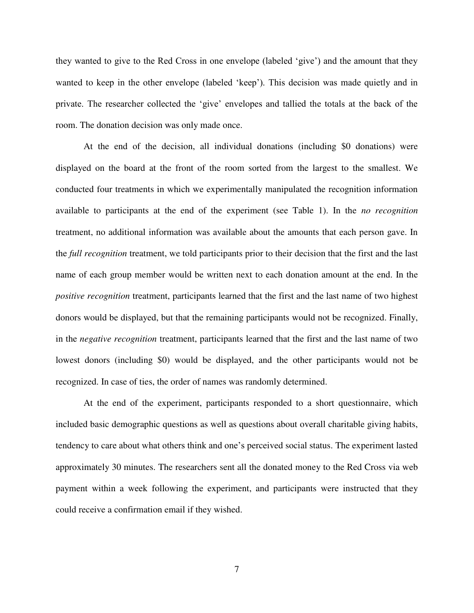they wanted to give to the Red Cross in one envelope (labeled 'give') and the amount that they wanted to keep in the other envelope (labeled 'keep'). This decision was made quietly and in private. The researcher collected the 'give' envelopes and tallied the totals at the back of the room. The donation decision was only made once.

At the end of the decision, all individual donations (including \$0 donations) were displayed on the board at the front of the room sorted from the largest to the smallest. We conducted four treatments in which we experimentally manipulated the recognition information available to participants at the end of the experiment (see Table 1). In the *no recognition* treatment, no additional information was available about the amounts that each person gave. In the *full recognition* treatment, we told participants prior to their decision that the first and the last name of each group member would be written next to each donation amount at the end. In the *positive recognition* treatment, participants learned that the first and the last name of two highest donors would be displayed, but that the remaining participants would not be recognized. Finally, in the *negative recognition* treatment, participants learned that the first and the last name of two lowest donors (including \$0) would be displayed, and the other participants would not be recognized. In case of ties, the order of names was randomly determined.

At the end of the experiment, participants responded to a short questionnaire, which included basic demographic questions as well as questions about overall charitable giving habits, tendency to care about what others think and one's perceived social status. The experiment lasted approximately 30 minutes. The researchers sent all the donated money to the Red Cross via web payment within a week following the experiment, and participants were instructed that they could receive a confirmation email if they wished.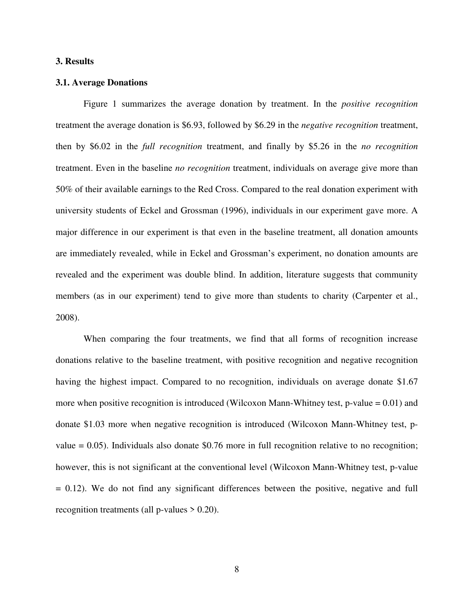### **3. Results**

### **3.1. Average Donations**

Figure 1 summarizes the average donation by treatment. In the *positive recognition* treatment the average donation is \$6.93, followed by \$6.29 in the *negative recognition* treatment, then by \$6.02 in the *full recognition* treatment, and finally by \$5.26 in the *no recognition* treatment. Even in the baseline *no recognition* treatment, individuals on average give more than 50% of their available earnings to the Red Cross. Compared to the real donation experiment with university students of Eckel and Grossman (1996), individuals in our experiment gave more. A major difference in our experiment is that even in the baseline treatment, all donation amounts are immediately revealed, while in Eckel and Grossman's experiment, no donation amounts are revealed and the experiment was double blind. In addition, literature suggests that community members (as in our experiment) tend to give more than students to charity (Carpenter et al., 2008).

When comparing the four treatments, we find that all forms of recognition increase donations relative to the baseline treatment, with positive recognition and negative recognition having the highest impact. Compared to no recognition, individuals on average donate \$1.67 more when positive recognition is introduced (Wilcoxon Mann-Whitney test,  $p$ -value = 0.01) and donate \$1.03 more when negative recognition is introduced (Wilcoxon Mann-Whitney test, pvalue  $= 0.05$ ). Individuals also donate \$0.76 more in full recognition relative to no recognition; however, this is not significant at the conventional level (Wilcoxon Mann-Whitney test, p-value  $= 0.12$ ). We do not find any significant differences between the positive, negative and full recognition treatments (all p-values > 0.20).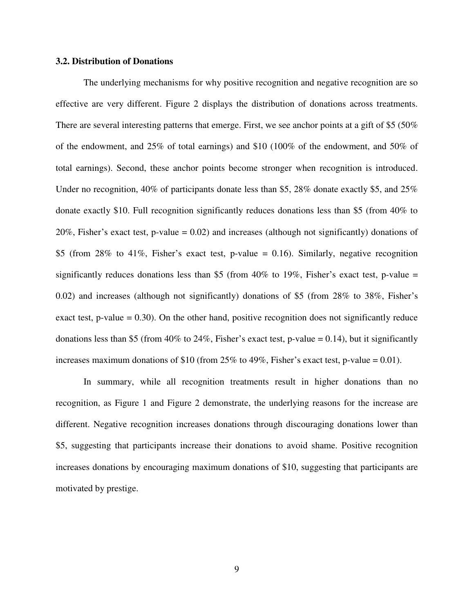### **3.2. Distribution of Donations**

The underlying mechanisms for why positive recognition and negative recognition are so effective are very different. Figure 2 displays the distribution of donations across treatments. There are several interesting patterns that emerge. First, we see anchor points at a gift of \$5 (50% of the endowment, and 25% of total earnings) and \$10 (100% of the endowment, and 50% of total earnings). Second, these anchor points become stronger when recognition is introduced. Under no recognition, 40% of participants donate less than \$5, 28% donate exactly \$5, and 25% donate exactly \$10. Full recognition significantly reduces donations less than \$5 (from 40% to 20%, Fisher's exact test, p-value  $= 0.02$ ) and increases (although not significantly) donations of \$5 (from 28% to 41%, Fisher's exact test, p-value = 0.16). Similarly, negative recognition significantly reduces donations less than \$5 (from 40% to 19%, Fisher's exact test, p-value = 0.02) and increases (although not significantly) donations of \$5 (from 28% to 38%, Fisher's exact test, p-value  $= 0.30$ ). On the other hand, positive recognition does not significantly reduce donations less than \$5 (from  $40\%$  to  $24\%$ , Fisher's exact test, p-value = 0.14), but it significantly increases maximum donations of \$10 (from  $25\%$  to 49%, Fisher's exact test, p-value = 0.01).

In summary, while all recognition treatments result in higher donations than no recognition, as Figure 1 and Figure 2 demonstrate, the underlying reasons for the increase are different. Negative recognition increases donations through discouraging donations lower than \$5, suggesting that participants increase their donations to avoid shame. Positive recognition increases donations by encouraging maximum donations of \$10, suggesting that participants are motivated by prestige.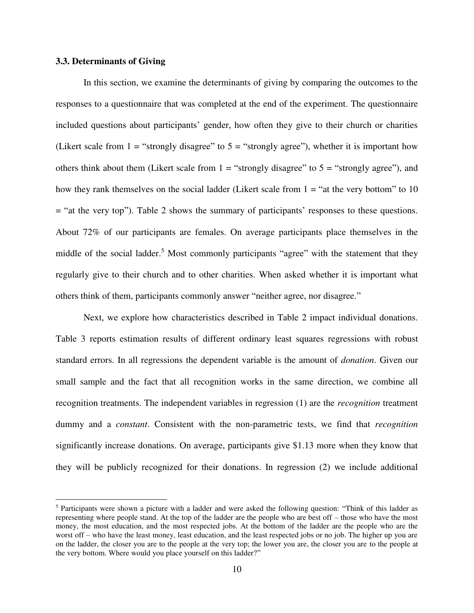### **3.3. Determinants of Giving**

 $\overline{a}$ 

In this section, we examine the determinants of giving by comparing the outcomes to the responses to a questionnaire that was completed at the end of the experiment. The questionnaire included questions about participants' gender, how often they give to their church or charities (Likert scale from  $1 =$  "strongly disagree" to  $5 =$  "strongly agree"), whether it is important how others think about them (Likert scale from  $1 =$  "strongly disagree" to  $5 =$  "strongly agree"), and how they rank themselves on the social ladder (Likert scale from  $1 =$  "at the very bottom" to 10 = "at the very top"). Table 2 shows the summary of participants' responses to these questions. About 72% of our participants are females. On average participants place themselves in the middle of the social ladder.<sup>5</sup> Most commonly participants "agree" with the statement that they regularly give to their church and to other charities. When asked whether it is important what others think of them, participants commonly answer "neither agree, nor disagree."

Next, we explore how characteristics described in Table 2 impact individual donations. Table 3 reports estimation results of different ordinary least squares regressions with robust standard errors. In all regressions the dependent variable is the amount of *donation*. Given our small sample and the fact that all recognition works in the same direction, we combine all recognition treatments. The independent variables in regression (1) are the *recognition* treatment dummy and a *constant*. Consistent with the non-parametric tests, we find that *recognition* significantly increase donations. On average, participants give \$1.13 more when they know that they will be publicly recognized for their donations. In regression (2) we include additional

<sup>&</sup>lt;sup>5</sup> Participants were shown a picture with a ladder and were asked the following question: "Think of this ladder as representing where people stand. At the top of the ladder are the people who are best off – those who have the most money, the most education, and the most respected jobs. At the bottom of the ladder are the people who are the worst off – who have the least money, least education, and the least respected jobs or no job. The higher up you are on the ladder, the closer you are to the people at the very top; the lower you are, the closer you are to the people at the very bottom. Where would you place yourself on this ladder?"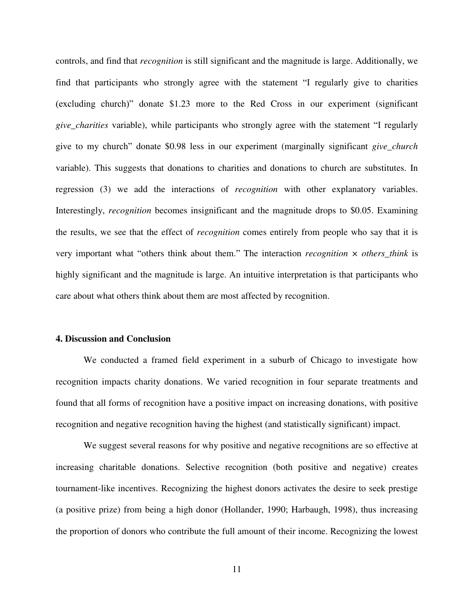controls, and find that *recognition* is still significant and the magnitude is large. Additionally, we find that participants who strongly agree with the statement "I regularly give to charities (excluding church)" donate \$1.23 more to the Red Cross in our experiment (significant *give\_charities* variable), while participants who strongly agree with the statement "I regularly give to my church" donate \$0.98 less in our experiment (marginally significant *give\_church* variable). This suggests that donations to charities and donations to church are substitutes. In regression (3) we add the interactions of *recognition* with other explanatory variables. Interestingly, *recognition* becomes insignificant and the magnitude drops to \$0.05. Examining the results, we see that the effect of *recognition* comes entirely from people who say that it is very important what "others think about them." The interaction *recognition × others\_think* is highly significant and the magnitude is large. An intuitive interpretation is that participants who care about what others think about them are most affected by recognition.

### **4. Discussion and Conclusion**

We conducted a framed field experiment in a suburb of Chicago to investigate how recognition impacts charity donations. We varied recognition in four separate treatments and found that all forms of recognition have a positive impact on increasing donations, with positive recognition and negative recognition having the highest (and statistically significant) impact.

We suggest several reasons for why positive and negative recognitions are so effective at increasing charitable donations. Selective recognition (both positive and negative) creates tournament-like incentives. Recognizing the highest donors activates the desire to seek prestige (a positive prize) from being a high donor (Hollander, 1990; Harbaugh, 1998), thus increasing the proportion of donors who contribute the full amount of their income. Recognizing the lowest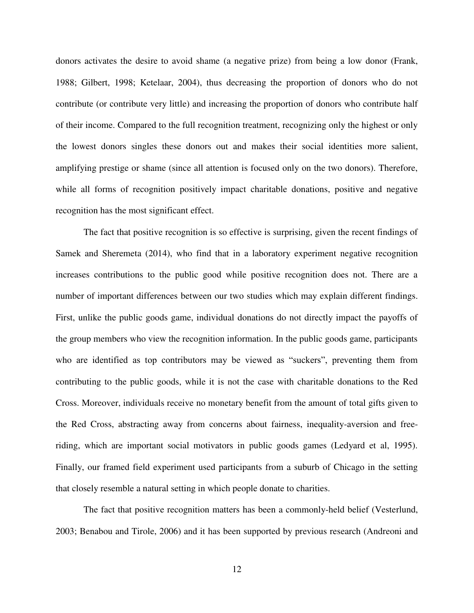donors activates the desire to avoid shame (a negative prize) from being a low donor (Frank, 1988; Gilbert, 1998; Ketelaar, 2004), thus decreasing the proportion of donors who do not contribute (or contribute very little) and increasing the proportion of donors who contribute half of their income. Compared to the full recognition treatment, recognizing only the highest or only the lowest donors singles these donors out and makes their social identities more salient, amplifying prestige or shame (since all attention is focused only on the two donors). Therefore, while all forms of recognition positively impact charitable donations, positive and negative recognition has the most significant effect.

The fact that positive recognition is so effective is surprising, given the recent findings of Samek and Sheremeta (2014), who find that in a laboratory experiment negative recognition increases contributions to the public good while positive recognition does not. There are a number of important differences between our two studies which may explain different findings. First, unlike the public goods game, individual donations do not directly impact the payoffs of the group members who view the recognition information. In the public goods game, participants who are identified as top contributors may be viewed as "suckers", preventing them from contributing to the public goods, while it is not the case with charitable donations to the Red Cross. Moreover, individuals receive no monetary benefit from the amount of total gifts given to the Red Cross, abstracting away from concerns about fairness, inequality-aversion and freeriding, which are important social motivators in public goods games (Ledyard et al, 1995). Finally, our framed field experiment used participants from a suburb of Chicago in the setting that closely resemble a natural setting in which people donate to charities.

The fact that positive recognition matters has been a commonly-held belief (Vesterlund, 2003; Benabou and Tirole, 2006) and it has been supported by previous research (Andreoni and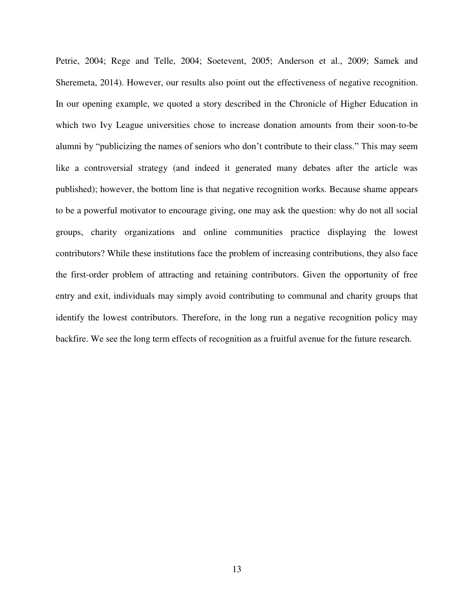Petrie, 2004; Rege and Telle, 2004; Soetevent, 2005; Anderson et al., 2009; Samek and Sheremeta, 2014). However, our results also point out the effectiveness of negative recognition. In our opening example, we quoted a story described in the Chronicle of Higher Education in which two Ivy League universities chose to increase donation amounts from their soon-to-be alumni by "publicizing the names of seniors who don't contribute to their class." This may seem like a controversial strategy (and indeed it generated many debates after the article was published); however, the bottom line is that negative recognition works. Because shame appears to be a powerful motivator to encourage giving, one may ask the question: why do not all social groups, charity organizations and online communities practice displaying the lowest contributors? While these institutions face the problem of increasing contributions, they also face the first-order problem of attracting and retaining contributors. Given the opportunity of free entry and exit, individuals may simply avoid contributing to communal and charity groups that identify the lowest contributors. Therefore, in the long run a negative recognition policy may backfire. We see the long term effects of recognition as a fruitful avenue for the future research.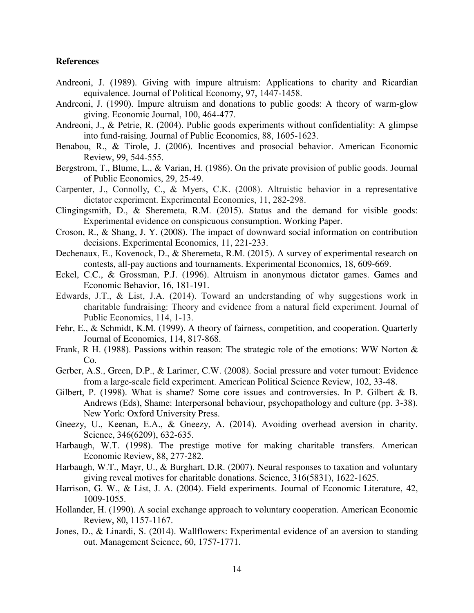### **References**

- Andreoni, J. (1989). Giving with impure altruism: Applications to charity and Ricardian equivalence. Journal of Political Economy, 97, 1447-1458.
- Andreoni, J. (1990). Impure altruism and donations to public goods: A theory of warm-glow giving. Economic Journal, 100, 464-477.
- Andreoni, J., & Petrie, R. (2004). Public goods experiments without confidentiality: A glimpse into fund-raising. Journal of Public Economics, 88, 1605-1623.
- Benabou, R., & Tirole, J. (2006). Incentives and prosocial behavior. American Economic Review, 99, 544-555.
- Bergstrom, T., Blume, L., & Varian, H. (1986). On the private provision of public goods. Journal of Public Economics, 29, 25-49.
- Carpenter, J., Connolly, C., & Myers, C.K. (2008). Altruistic behavior in a representative dictator experiment. Experimental Economics, 11, 282-298.
- Clingingsmith, D., & Sheremeta, R.M. (2015). Status and the demand for visible goods: Experimental evidence on conspicuous consumption. Working Paper.
- Croson, R., & Shang, J. Y. (2008). The impact of downward social information on contribution decisions. Experimental Economics, 11, 221-233.
- Dechenaux, E., Kovenock, D., & Sheremeta, R.M. (2015). A survey of experimental research on contests, all-pay auctions and tournaments. Experimental Economics, 18, 609-669.
- Eckel, C.C., & Grossman, P.J. (1996). Altruism in anonymous dictator games. Games and Economic Behavior, 16, 181-191.
- Edwards, J.T., & List, J.A. (2014). Toward an understanding of why suggestions work in charitable fundraising: Theory and evidence from a natural field experiment. Journal of Public Economics, 114, 1-13.
- Fehr, E., & Schmidt, K.M. (1999). A theory of fairness, competition, and cooperation. Quarterly Journal of Economics, 114, 817-868.
- Frank, R H. (1988). Passions within reason: The strategic role of the emotions: WW Norton & Co.
- Gerber, A.S., Green, D.P., & Larimer, C.W. (2008). Social pressure and voter turnout: Evidence from a large-scale field experiment. American Political Science Review, 102, 33-48.
- Gilbert, P. (1998). What is shame? Some core issues and controversies. In P. Gilbert & B. Andrews (Eds), Shame: Interpersonal behaviour, psychopathology and culture (pp. 3-38). New York: Oxford University Press.
- Gneezy, U., Keenan, E.A., & Gneezy, A. (2014). Avoiding overhead aversion in charity. Science, 346(6209), 632-635.
- Harbaugh, W.T. (1998). The prestige motive for making charitable transfers. American Economic Review, 88, 277-282.
- Harbaugh, W.T., Mayr, U., & Burghart, D.R. (2007). Neural responses to taxation and voluntary giving reveal motives for charitable donations. Science, 316(5831), 1622-1625.
- Harrison, G. W., & List, J. A. (2004). Field experiments. Journal of Economic Literature, 42, 1009-1055.
- Hollander, H. (1990). A social exchange approach to voluntary cooperation. American Economic Review, 80, 1157-1167.
- Jones, D., & Linardi, S. (2014). Wallflowers: Experimental evidence of an aversion to standing out. Management Science, 60, 1757-1771.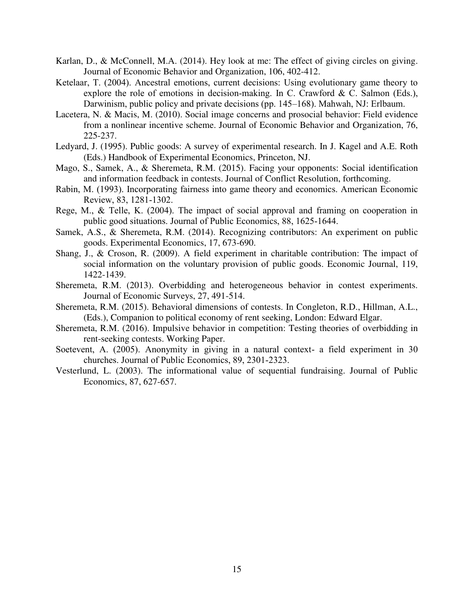- Karlan, D., & McConnell, M.A. (2014). Hey look at me: The effect of giving circles on giving. Journal of Economic Behavior and Organization, 106, 402-412.
- Ketelaar, T. (2004). Ancestral emotions, current decisions: Using evolutionary game theory to explore the role of emotions in decision-making. In C. Crawford  $\& C$ . Salmon (Eds.), Darwinism, public policy and private decisions (pp. 145–168). Mahwah, NJ: Erlbaum.
- Lacetera, N. & Macis, M. (2010). Social image concerns and prosocial behavior: Field evidence from a nonlinear incentive scheme. Journal of Economic Behavior and Organization, 76, 225-237.
- Ledyard, J. (1995). Public goods: A survey of experimental research. In J. Kagel and A.E. Roth (Eds.) Handbook of Experimental Economics, Princeton, NJ.
- Mago, S., Samek, A., & Sheremeta, R.M. (2015). Facing your opponents: Social identification and information feedback in contests. Journal of Conflict Resolution, forthcoming.
- Rabin, M. (1993). Incorporating fairness into game theory and economics. American Economic Review, 83, 1281-1302.
- Rege, M., & Telle, K. (2004). The impact of social approval and framing on cooperation in public good situations. Journal of Public Economics, 88, 1625-1644.
- Samek, A.S., & Sheremeta, R.M. (2014). Recognizing contributors: An experiment on public goods. Experimental Economics, 17, 673-690.
- Shang, J., & Croson, R. (2009). A field experiment in charitable contribution: The impact of social information on the voluntary provision of public goods. Economic Journal, 119, 1422-1439.
- Sheremeta, R.M. (2013). Overbidding and heterogeneous behavior in contest experiments. Journal of Economic Surveys, 27, 491-514.
- Sheremeta, R.M. (2015). Behavioral dimensions of contests. In Congleton, R.D., Hillman, A.L., (Eds.), Companion to political economy of rent seeking, London: Edward Elgar.
- Sheremeta, R.M. (2016). Impulsive behavior in competition: Testing theories of overbidding in rent-seeking contests. Working Paper.
- Soetevent, A. (2005). Anonymity in giving in a natural context- a field experiment in 30 churches. Journal of Public Economics, 89, 2301-2323.
- Vesterlund, L. (2003). The informational value of sequential fundraising. Journal of Public Economics, 87, 627-657.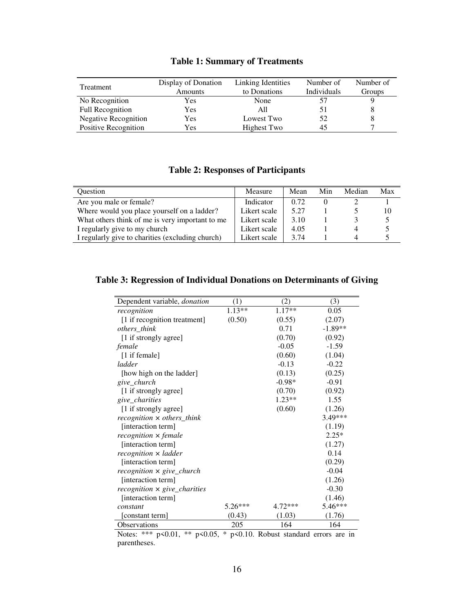| Treatment                   | Display of Donation | Linking Identities | Number of   | Number of |
|-----------------------------|---------------------|--------------------|-------------|-----------|
|                             | Amounts             | to Donations       | Individuals | Groups    |
| No Recognition              | <b>Yes</b>          | None               |             |           |
| <b>Full Recognition</b>     | Yes                 | All                | 51          |           |
| <b>Negative Recognition</b> | Yes                 | Lowest Two         | 52          |           |
| Positive Recognition        | Yes                 | Highest Two        | 45          |           |

### **Table 1: Summary of Treatments**

### **Table 2: Responses of Participants**

| Ouestion                                         | Measure      | Mean | Min | Median | Max |
|--------------------------------------------------|--------------|------|-----|--------|-----|
| Are you male or female?                          | Indicator    | 0.72 |     |        |     |
| Where would you place yourself on a ladder?      | Likert scale | 5.27 |     |        | 10  |
| What others think of me is very important to me  | Likert scale | 3.10 |     |        |     |
| I regularly give to my church                    | Likert scale | 4.05 |     |        |     |
| I regularly give to charities (excluding church) | Likert scale | 3.74 |     |        |     |

### **Table 3: Regression of Individual Donations on Determinants of Giving**

| Dependent variable, donation                | $\left(1\right)$ | (2)       | (3)       |
|---------------------------------------------|------------------|-----------|-----------|
| recognition                                 | $1.13**$         | $1.17**$  | 0.05      |
| [1 if recognition treatment]                | (0.50)           | (0.55)    | (2.07)    |
| others_think                                |                  | 0.71      | $-1.89**$ |
| [1 if strongly agree]                       |                  | (0.70)    | (0.92)    |
| female                                      |                  | $-0.05$   | $-1.59$   |
| [1 if female]                               |                  | (0.60)    | (1.04)    |
| ladder                                      |                  | $-0.13$   | $-0.22$   |
| [how high on the ladder]                    |                  | (0.13)    | (0.25)    |
| give_church                                 |                  | $-0.98*$  | $-0.91$   |
| [1 if strongly agree]                       |                  | (0.70)    | (0.92)    |
| give_charities                              |                  | $1.23**$  | 1.55      |
| [1 if strongly agree]                       |                  | (0.60)    | (1.26)    |
| $recognition \times others_think$           |                  |           | 3.49***   |
| [interaction term]                          |                  |           | (1.19)    |
| recognition x female                        |                  |           | $2.25*$   |
| [interaction term]                          |                  |           | (1.27)    |
| recognition x ladder                        |                  |           | 0.14      |
| [interaction term]                          |                  |           | (0.29)    |
| $recognition \times give_{\textit{church}}$ |                  |           | $-0.04$   |
| [interaction term]                          |                  |           | (1.26)    |
| $recognition \times give_{\_}$ charities    |                  |           | $-0.30$   |
| [interaction term]                          |                  |           | (1.46)    |
| constant                                    | $5.26***$        | $4.72***$ | 5.46***   |
| [constant term]                             | (0.43)           | (1.03)    | (1.76)    |
| Observations                                | 205              | 164       | 164       |

Notes: \*\*\* p<0.01, \*\* p<0.05, \* p<0.10. Robust standard errors are in parentheses.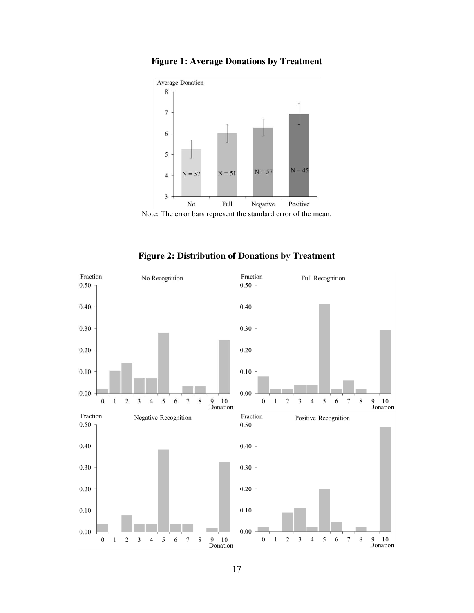



Note: The error bars represent the standard error of the mean.



**Figure 2: Distribution of Donations by Treatment**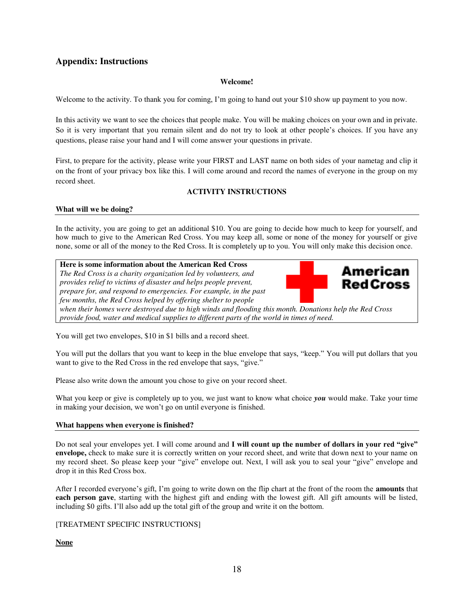### **Appendix: Instructions**

### **Welcome!**

Welcome to the activity. To thank you for coming, I'm going to hand out your \$10 show up payment to you now.

In this activity we want to see the choices that people make. You will be making choices on your own and in private. So it is very important that you remain silent and do not try to look at other people's choices. If you have any questions, please raise your hand and I will come answer your questions in private.

First, to prepare for the activity, please write your FIRST and LAST name on both sides of your nametag and clip it on the front of your privacy box like this. I will come around and record the names of everyone in the group on my record sheet.

### **ACTIVITY INSTRUCTIONS**

### **What will we be doing?**

In the activity, you are going to get an additional \$10. You are going to decide how much to keep for yourself, and how much to give to the American Red Cross. You may keep all, some or none of the money for yourself or give none, some or all of the money to the Red Cross. It is completely up to you. You will only make this decision once.

### **Here is some information about the American Red Cross**

*The Red Cross is a charity organization led by volunteers, and provides relief to victims of disaster and helps people prevent, prepare for, and respond to emergencies. For example, in the past few months, the Red Cross helped by offering shelter to people* 



*when their homes were destroyed due to high winds and flooding this month. Donations help the Red Cross provide food, water and medical supplies to different parts of the world in times of need.* 

You will get two envelopes, \$10 in \$1 bills and a record sheet.

You will put the dollars that you want to keep in the blue envelope that says, "keep." You will put dollars that you want to give to the Red Cross in the red envelope that says, "give."

Please also write down the amount you chose to give on your record sheet.

What you keep or give is completely up to you, we just want to know what choice *you* would make. Take your time in making your decision, we won't go on until everyone is finished.

### **What happens when everyone is finished?**

Do not seal your envelopes yet. I will come around and **I will count up the number of dollars in your red "give" envelope,** check to make sure it is correctly written on your record sheet, and write that down next to your name on my record sheet. So please keep your "give" envelope out. Next, I will ask you to seal your "give" envelope and drop it in this Red Cross box.

After I recorded everyone's gift, I'm going to write down on the flip chart at the front of the room the **amounts** that **each person gave**, starting with the highest gift and ending with the lowest gift. All gift amounts will be listed, including \$0 gifts. I'll also add up the total gift of the group and write it on the bottom.

### [TREATMENT SPECIFIC INSTRUCTIONS]

**None**